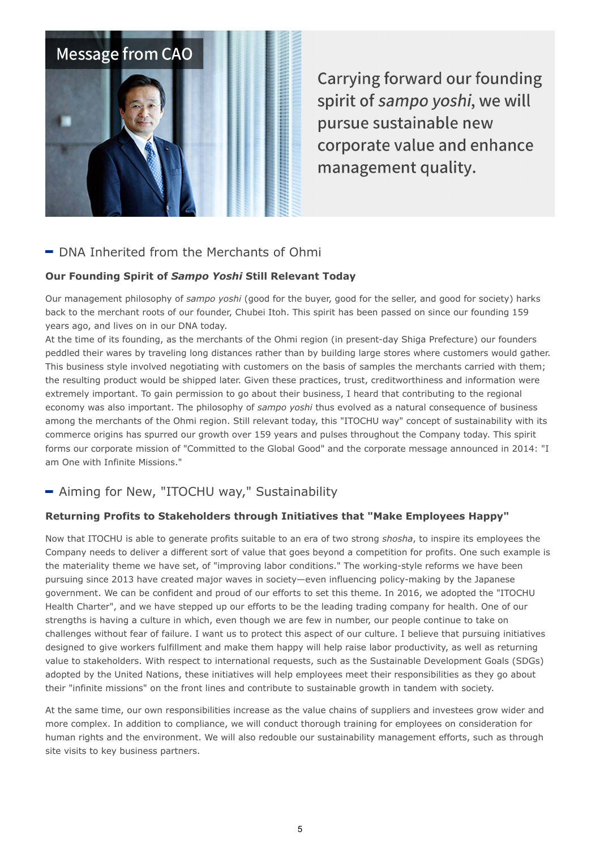

**Carrying forward our founding** spirit of sampo yoshi, we will pursue sustainable new corporate value and enhance management quality.

# $\blacksquare$  DNA Inherited from the Merchants of Ohmi

### Our Founding Spirit of Sampo Yoshi Still Relevant Today

Our management philosophy of sampo yoshi (good for the buyer, good for the seller, and good for society) harks back to the merchant roots of our founder, Chubei Itoh. This spirit has been passed on since our founding 159 years ago, and lives on in our DNA today.

At the time of its founding, as the merchants of the Ohmi region (in present-day Shiga Prefecture) our founders peddled their wares by traveling long distances rather than by building large stores where customers would gather. This business style involved negotiating with customers on the basis of samples the merchants carried with them; the resulting product would be shipped later. Given these practices, trust, creditworthiness and information were extremely important. To gain permission to go about their business, I heard that contributing to the regional economy was also important. The philosophy of sampo voshi thus evolved as a natural consequence of business among the merchants of the Ohmi region. Still relevant today, this "ITOCHU way" concept of sustainability with its commerce origins has spurred our growth over 159 years and pulses throughout the Company today. This spirit forms our corporate mission of "Committed to the Global Good" and the corporate message announced in 2014: "I am One with Infinite Missions."

## - Aiming for New, "ITOCHU way," Sustainability

### Returning Profits to Stakeholders through Initiatives that "Make Employees Happy"

Now that ITOCHU is able to generate profits suitable to an era of two strong shosha, to inspire its employees the Company needs to deliver a different sort of value that goes beyond a competition for profits. One such example is the materiality theme we have set, of "improving labor conditions." The working-style reforms we have been pursuing since 2013 have created major waves in society—even influencing policy-making by the Japanese government. We can be confident and proud of our efforts to set this theme. In 2016, we adopted the "ITOCHU Health Charter", and we have stepped up our efforts to be the leading trading company for health. One of our strengths is having a culture in which, even though we are few in number, our people continue to take on challenges without fear of failure. I want us to protect this aspect of our culture. I believe that pursuing initiatives designed to give workers fulfillment and make them happy will help raise labor productivity, as well as returning value to stakeholders. With respect to international requests, such as the Sustainable Development Goals (SDGs) adopted by the United Nations, these initiatives will help employees meet their responsibilities as they go about their "infinite missions" on the front lines and contribute to sustainable growth in tandem with society.

At the same time, our own responsibilities increase as the value chains of suppliers and investees grow wider and more complex. In addition to compliance, we will conduct thorough training for employees on consideration for human rights and the environment. We will also redouble our sustainability management efforts, such as through site visits to key business partners.